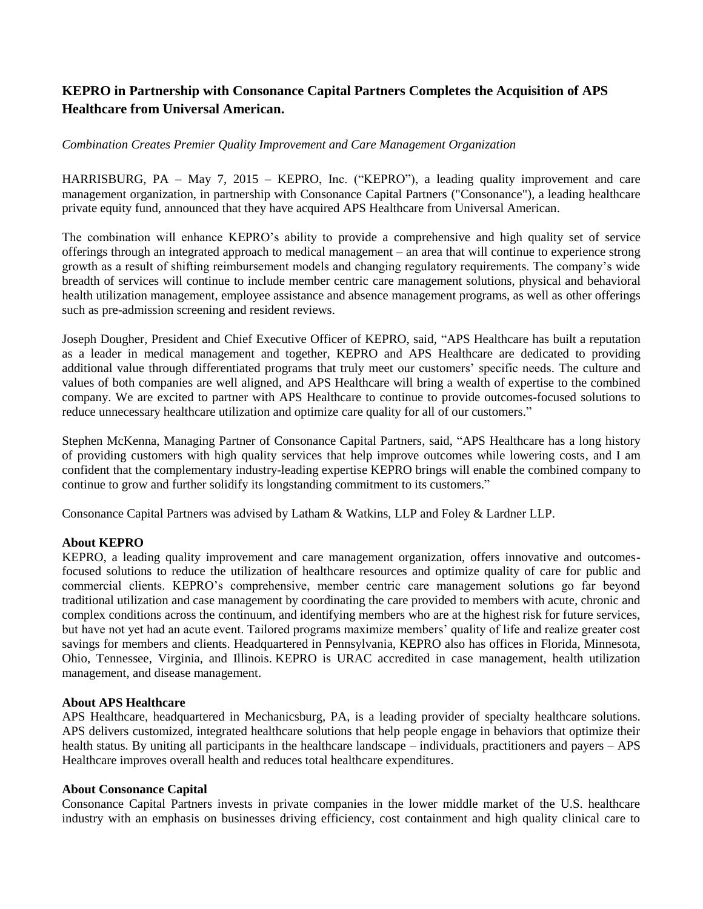# **KEPRO in Partnership with Consonance Capital Partners Completes the Acquisition of APS Healthcare from Universal American.**

## *Combination Creates Premier Quality Improvement and Care Management Organization*

HARRISBURG, PA – May 7, 2015 – KEPRO, Inc. ("KEPRO"), a leading quality improvement and care management organization, in partnership with Consonance Capital Partners ("Consonance"), a leading healthcare private equity fund, announced that they have acquired APS Healthcare from Universal American.

The combination will enhance KEPRO's ability to provide a comprehensive and high quality set of service offerings through an integrated approach to medical management – an area that will continue to experience strong growth as a result of shifting reimbursement models and changing regulatory requirements. The company's wide breadth of services will continue to include member centric care management solutions, physical and behavioral health utilization management, employee assistance and absence management programs, as well as other offerings such as pre-admission screening and resident reviews.

Joseph Dougher, President and Chief Executive Officer of KEPRO, said, "APS Healthcare has built a reputation as a leader in medical management and together, KEPRO and APS Healthcare are dedicated to providing additional value through differentiated programs that truly meet our customers' specific needs. The culture and values of both companies are well aligned, and APS Healthcare will bring a wealth of expertise to the combined company. We are excited to partner with APS Healthcare to continue to provide outcomes-focused solutions to reduce unnecessary healthcare utilization and optimize care quality for all of our customers."

Stephen McKenna, Managing Partner of Consonance Capital Partners, said, "APS Healthcare has a long history of providing customers with high quality services that help improve outcomes while lowering costs, and I am confident that the complementary industry-leading expertise KEPRO brings will enable the combined company to continue to grow and further solidify its longstanding commitment to its customers."

Consonance Capital Partners was advised by Latham & Watkins, LLP and Foley & Lardner LLP.

### **About KEPRO**

KEPRO, a leading quality improvement and care management organization, offers innovative and outcomesfocused solutions to reduce the utilization of healthcare resources and optimize quality of care for public and commercial clients. KEPRO's comprehensive, member centric care management solutions go far beyond traditional utilization and case management by coordinating the care provided to members with acute, chronic and complex conditions across the continuum, and identifying members who are at the highest risk for future services, but have not yet had an acute event. Tailored programs maximize members' quality of life and realize greater cost savings for members and clients. Headquartered in Pennsylvania, KEPRO also has offices in Florida, Minnesota, Ohio, Tennessee, Virginia, and Illinois. KEPRO is URAC accredited in case management, health utilization management, and disease management.

### **About APS Healthcare**

APS Healthcare, headquartered in Mechanicsburg, PA, is a leading provider of specialty healthcare solutions. APS delivers customized, integrated healthcare solutions that help people engage in behaviors that optimize their health status. By uniting all participants in the healthcare landscape – individuals, practitioners and payers – APS Healthcare improves overall health and reduces total healthcare expenditures.

#### **About Consonance Capital**

Consonance Capital Partners invests in private companies in the lower middle market of the U.S. healthcare industry with an emphasis on businesses driving efficiency, cost containment and high quality clinical care to